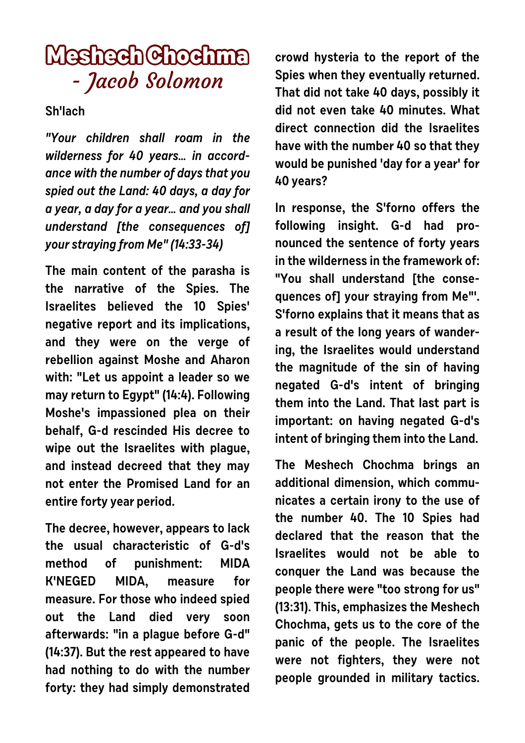## **Meshech Chochma** - Jacob Solomon

## **Sh'lach**

**"Your children shall roam in the wilderness for 40 years… in accordance with the number of days that you spied out the Land: 40 days, a day for a year, a day for a year… and you shall understand [the consequences of] your straying from Me" (14:33-34)** 

**The main content of the parasha is the narrative of the Spies. The Israelites believed the 10 Spies' negative report and its implications, and they were on the verge of rebellion against Moshe and Aharon with: "Let us appoint a leader so we may return to Egypt" (14:4). Following Moshe's impassioned plea on their behalf, G-d rescinded His decree to wipe out the Israelites with plague, and instead decreed that they may not enter the Promised Land for an entire forty year period.** 

**The decree, however, appears to lack the usual characteristic of G-d's method of punishment: MIDA K'NEGED MIDA, measure for measure. For those who indeed spied out the Land died very soon afterwards: "in a plague before G-d" (14:37). But the rest appeared to have had nothing to do with the number forty: they had simply demonstrated** **crowd hysteria to the report of the Spies when they eventually returned. That did not take 40 days, possibly it did not even take 40 minutes. What direct connection did the Israelites have with the number 40 so that they would be punished 'day for a year' for 40 years?**

**In response, the S'forno offers the following insight. G-d had pronounced the sentence of forty years in the wilderness in the framework of: "You shall understand [the consequences of] your straying from Me"'. S'forno explains that it means that as a result of the long years of wandering, the Israelites would understand the magnitude of the sin of having negated G-d's intent of bringing them into the Land. That last part is important: on having negated G-d's intent of bringing them into the Land.**

**The Meshech Chochma brings an additional dimension, which communicates a certain irony to the use of the number 40. The 10 Spies had declared that the reason that the Israelites would not be able to conquer the Land was because the people there were "too strong for us" (13:31). This, emphasizes the Meshech Chochma, gets us to the core of the panic of the people. The Israelites were not fighters, they were not people grounded in military tactics.**